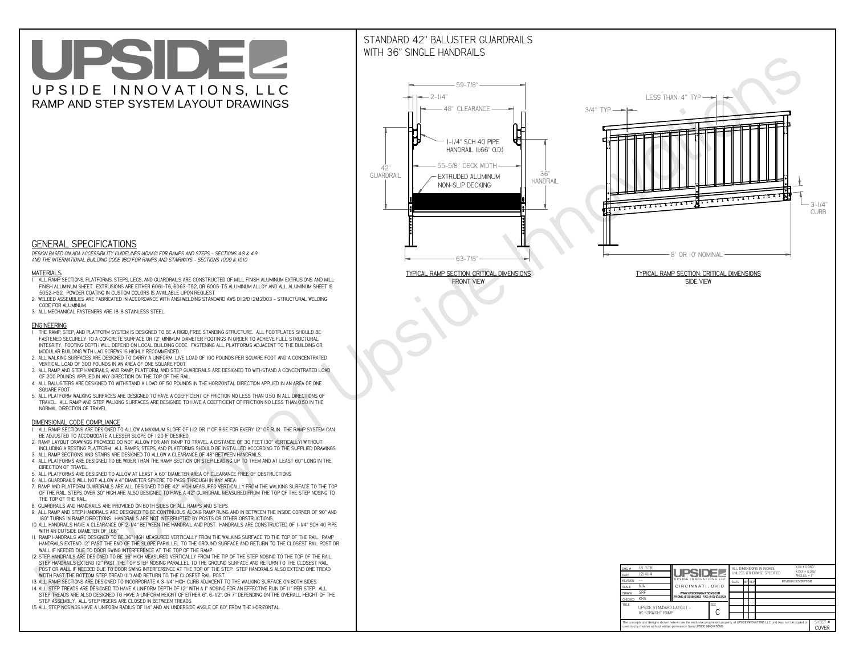# UPSIDEL UPSIDE INNOVATIONS, LLC RAMP AND STEP SYSTEM LAYOUT DRAWINGS

## STANDARD 42" BALUSTER GUARDRAILSWITH 36" SINGLE HANDRAILS

**FRONT VIEW**





**GENERAL SPECIFICATIONS**

 *DESIGN BASED ON ADA ACCESSIBILITY GUIDELINES (ADAAG) FOR RAMPS AND STEPS - SECTIONS 4.8 & 4.9AND THE INTERNATIONAL BUILDING CODE (IBC) FOR RAMPS AND STAIRWAYS - SECTIONS 1009 & 1010*

#### **MATERIALS**

- **1. ALL RAMP SECTIONS, PLATFORMS, STEPS, LEGS, AND GUARDRAILS ARE CONSTRUCTED OF MILL FINISH ALUMINUM EXTRUSIONS AND MILL FINISH ALUMINUM SHEET. EXTRUSIONS ARE EITHER 6061-T6, 6063-T52, OR 6005-T5 ALUMINUM ALLOY AND ALL ALUMINUM SHEET IS 5052-H32. POWDER COATING IN CUSTOM COLORS IS AVAILABLE UPON REQUEST.**
- **2. WELDED ASSEMBLIES ARE FABRICATED IN ACCORDANCE WITH ANSI WELDING STANDARD AWS D1.2/D1.2M:2003 STRUCTURAL WELDING CODE FOR ALUMINUM.**
- **3. ALL MECHANICAL FASTENERS ARE 18-8 STAINLESS STEEL.**

#### **ENGINEERING**

- **1. THE RAMP, STEP, AND PLATFORM SYSTEM IS DESIGNED TO BE A RIGID, FREE STANDING STRUCTURE. ALL FOOTPLATES SHOULD BE FASTENED SECURELY TO A CONCRETE SURFACE OR 12" MINIMUM DIAMETER FOOTINGS IN ORDER TO ACHIEVE FULL STRUCTURAL INTEGRITY. FOOTING DEPTH WILL DEPEND ON LOCAL BUILDING CODE. FASTENING ALL PLATFORMS ADJACENT TO THE BUILDING OR MODULAR BUILDING WITH LAG SCREWS IS HIGHLY RECOMMENDED.**
- **2. ALL WALKING SURFACES ARE DESIGNED TO CARRY A UNIFORM LIVE LOAD OF 100 POUNDS PER SQUARE FOOT AND A CONCENTRATED VERTICAL LOAD OF 300 POUNDS IN AN AREA OF ONE SQUARE FOOT.**
- **3. ALL RAMP AND STEP HANDRAILS, AND RAMP, PLATFORM, AND STEP GUARDRAILS ARE DESIGNED TO WITHSTAND A CONCENTRATED LOAD OF 200 POUNDS APPLIED IN ANY DIRECTION ON THE TOP OF THE RAIL.**
- **4. ALL BALUSTERS ARE DESIGNED TO WITHSTAND A LOAD OF 50 POUNDS IN THE HORIZONTAL DIRECTION APPLIED IN AN AREA OF ONE SQUARE FOOT.**
- **5. ALL PLATFORM WALKING SURFACES ARE DESIGNED TO HAVE A COEFFICIENT OF FRICTION NO LESS THAN 0.50 IN ALL DIRECTIONS OF TRAVEL. ALL RAMP AND STEP WALKING SURFACES ARE DESIGNED TO HAVE A COEFFICIENT OF FRICTION NO LESS THAN 0.50 IN THE NORMAL DIRECTION OF TRAVEL.**

| $DWG.$ #<br>DATE                                                                                                                                                                                            | 16_STR<br>12/4/14                             | UPSIDEL                                   |             | ALL DIMENSIONS IN INCHES<br>UNI FSS OTHERWISE SPECIFIED |  |  |  | $XXX = 0.060"$<br>$XXX \pm 0.015$ "<br>ANGLES $\pm$ 1° |  |
|-------------------------------------------------------------------------------------------------------------------------------------------------------------------------------------------------------------|-----------------------------------------------|-------------------------------------------|-------------|---------------------------------------------------------|--|--|--|--------------------------------------------------------|--|
| <b>REVISION</b>                                                                                                                                                                                             |                                               | UPSIDE INNOVATIONS LLC                    |             | <b>BY REV</b><br>DATE<br><b>REVISION DESCRIPTION</b>    |  |  |  |                                                        |  |
| <b>SCALE</b>                                                                                                                                                                                                | N/A                                           | CINCINNATI, OHIO                          |             |                                                         |  |  |  |                                                        |  |
| <b>DRAWN</b>                                                                                                                                                                                                | <b>SRF</b>                                    | WWW.UPSIDEINNOVATIONS.COM                 |             |                                                         |  |  |  |                                                        |  |
| CHECKED                                                                                                                                                                                                     | <b>KRS</b>                                    | PHONE: (513) 889-2492 FAX: (513) 672-2124 |             |                                                         |  |  |  |                                                        |  |
| <b>TITLE</b>                                                                                                                                                                                                | UPSIDE STANDARD LAYOUT -<br>16' STRAIGHT RAMP |                                           | <b>SIZE</b> |                                                         |  |  |  |                                                        |  |
| The concepts and designs shown here-in are the exclusive proprietary property of UPSIDE INNOVATIONS LLC. and may not be copied or<br>used in any manner without written permission from UPSIDE INNOVATIONS. |                                               |                                           |             |                                                         |  |  |  | SHEET #<br>COVER                                       |  |

### **DIMENSIONAL CODE COMPLIANCE**

- **1. ALL RAMP SECTIONS ARE DESIGNED TO ALLOW A MAXIMUM SLOPE OF 1:12 OR 1" OF RISE FOR EVERY 12" OF RUN. THE RAMP SYSTEM CAN BE ADJUSTED TO ACCOMODATE A LESSER SLOPE OF 1:20 IF DESIRED.**
- **2. RAMP LAYOUT DRAWINGS PROVIDED DO NOT ALLOW FOR ANY RAMP TO TRAVEL A DISTANCE OF 30 FEET (30" VERTICALLY) WITHOUT INCLUDING A RESTING PLATFORM. ALL RAMPS, STEPS, AND PLATFORMS SHOULD BE INSTALLED ACCORDING TO THE SUPPLIED DRAWINGS.**
- **3. ALL RAMP SECTIONS AND STAIRS ARE DESIGNED TO ALLOW A CLEARANCE OF 48" BETWEEN HANDRAILS.**
- **4. ALL PLATFORMS ARE DESIGNED TO BE WIDER THAN THE RAMP SECTION OR STEP LEADING UP TO THEM AND AT LEAST 60" LONG IN THE DIRECTION OF TRAVEL.**
- **5. ALL PLATFORMS ARE DESIGNED TO ALLOW AT LEAST A 60" DIAMETER AREA OF CLEARANCE FREE OF OBSTRUCTIONS.**
- **6. ALL GUARDRAILS WILL NOT ALLOW A 4" DIAMETER SPHERE TO PASS THROUGH IN ANY AREA.**
- **7. RAMP AND PLATFORM GUARDRAILS ARE ALL DESIGNED TO BE 42" HIGH MEASURED VERTICALLY FROM THE WALKING SURFACE TO THE TOP OF THE RAIL. STEPS OVER 30" HIGH ARE ALSO DESIGNED TO HAVE A 42" GUARDRAIL MEASURED FROM THE TOP OF THE STEP NOSING TO THE TOP OF THE RAIL.**
- **8. GUARDRAILS AND HANDRAILS ARE PROVIDED ON BOTH SIDES OF ALL RAMPS AND STEPS.**
- **9. ALL RAMP AND STEP HANDRAILS ARE DESIGNED TO BE CONTINUOUS ALONG RAMP RUNS AND IN BETWEEN THE INSIDE CORNER OF 90° AND 180° TURNS IN RAMP DIRECTIONS. HANDRAILS ARE NOT INTERRUPTED BY POSTS OR OTHER OBSTRUCTIONS.**
- **10. ALL HANDRAILS HAVE A CLEARANCE OF 2-1/4" BETWEEN THE HANDRAIL AND POST. HANDRAILS ARE CONSTRUCTED OF 1-1/4" SCH 40 PIPE WITH AN OUTSIDE DIAMETER OF 1.66"**
- **11. RAMP HANDRAILS ARE DESIGNED TO BE 36" HIGH MEASURED VERTICALLY FROM THE WALKING SURFACE TO THE TOP OF THE RAIL. RAMP HANDRAILS EXTEND 12" PAST THE END OF THE SLOPE PARALLEL TO THE GROUND SURFACE AND RETURN TO THE CLOSEST RAIL POST OR WALL IF NEEDED DUE TO DOOR SWING INTERFERENCE AT THE TOP OF THE RAMP.**
- **12. STEP HANDRAILS ARE DESIGNED TO BE 36" HIGH MEASURED VERTICALLY FROM THE TIP OF THE STEP NOSING TO THE TOP OF THE RAIL. STEP HANDRAILS EXTEND 12" PAST THE TOP STEP NOSING PARALLEL TO THE GROUND SURFACE AND RETURN TO THE CLOSEST RAIL POST OR WALL IF NEEDED DUE TO DOOR SWING INTERFERENCE AT THE TOP OF THE STEP. STEP HANDRAILS ALSO EXTEND ONE TREAD**
- **WIDTH PAST THE BOTTOM STEP TREAD (11") AND RETURN TO THE CLOSEST RAIL POST.**
- **13. ALL RAMP SECTIONS ARE DESIGNED TO INCORPORATE A 3-1/4" HIGH CURB ADJACENT TO THE WALKING SURFACE ON BOTH SIDES.**
- **14. ALL STEP TREADS ARE DESIGNED TO HAVE A UNIFORM DEPTH OF 12" WITH A 1" NOSING FOR AN EFFECTIVE RUN OF 11" PER STEP. ALL STEP TREADS ARE ALSO DESIGNED TO HAVE A UNIFORM HEIGHT OF EITHER 6", 6-1/2", OR 7" DEPENDING ON THE OVERALL HEIGHT OF THE STEP ASSEMBLY. ALL STEP RISERS ARE CLOSED IN BETWEEN TREADS.**
- **15. ALL STEP NOSINGS HAVE A UNIFORM RADIUS OF 1/4" AND AN UNDERSIDE ANGLE OF 60° FROM THE HORIZONTAL.**